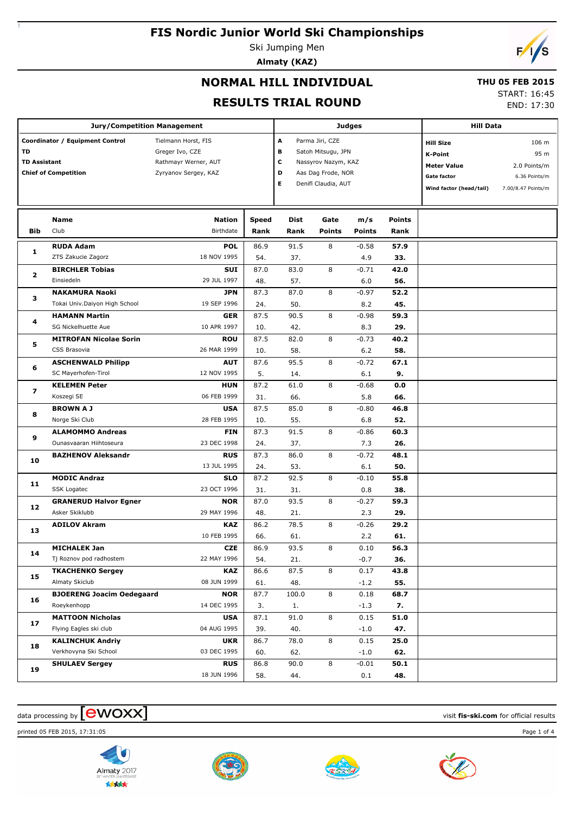Ski Jumping Men **Almaty (KAZ)**



### **NORMAL HILL INDIVIDUAL**

#### **THU 05 FEB 2015**

#### **RESULTS TRIAL ROUND**

START: 16:45

END: 17:30

|                                                                                             | <b>Jury/Competition Management</b> |                                                                                        |                       | <b>Judges</b>                                                                                             | <b>Hill Data</b>      |                                                                                                           |                                                                      |  |  |
|---------------------------------------------------------------------------------------------|------------------------------------|----------------------------------------------------------------------------------------|-----------------------|-----------------------------------------------------------------------------------------------------------|-----------------------|-----------------------------------------------------------------------------------------------------------|----------------------------------------------------------------------|--|--|
| Coordinator / Equipment Control<br>TD<br><b>TD Assistant</b><br><b>Chief of Competition</b> |                                    | Tielmann Horst, FIS<br>Greger Ivo, CZE<br>Rathmayr Werner, AUT<br>Zyryanov Sergey, KAZ | A<br>в<br>с<br>D<br>Е | Parma Jiri, CZE<br>Satoh Mitsugu, JPN<br>Nassyrov Nazym, KAZ<br>Aas Dag Frode, NOR<br>Denifl Claudia, AUT |                       | <b>Hill Size</b><br><b>K-Point</b><br><b>Meter Value</b><br><b>Gate factor</b><br>Wind factor (head/tail) | 106 m<br>95 m<br>2.0 Points/m<br>6.36 Points/m<br>7.00/8.47 Points/m |  |  |
| Bib                                                                                         | Name<br>Club                       | <b>Nation</b><br><b>Birthdate</b>                                                      | <b>Speed</b><br>Rank  | <b>Dist</b><br>Rank                                                                                       | Gate<br><b>Points</b> | m/s<br><b>Points</b>                                                                                      | <b>Points</b><br>Rank                                                |  |  |
|                                                                                             | <b>RUDA Adam</b>                   | <b>POL</b>                                                                             | 86.9                  | 91.5                                                                                                      | 8                     | $-0.58$                                                                                                   | 57.9                                                                 |  |  |
| 1                                                                                           | ZTS Zakucie Zagorz                 | 18 NOV 1995                                                                            | 54.                   | 37.                                                                                                       |                       | 4.9                                                                                                       | 33.                                                                  |  |  |
| 2<br>з                                                                                      | <b>BIRCHLER Tobias</b>             | <b>SUI</b>                                                                             | 87.0                  | 83.0                                                                                                      | 8                     | $-0.71$                                                                                                   | 42.0                                                                 |  |  |
|                                                                                             | Einsiedeln                         | 29 JUL 1997                                                                            | 48.                   | 57.                                                                                                       |                       | 6.0                                                                                                       | 56.                                                                  |  |  |
|                                                                                             | <b>NAKAMURA Naoki</b>              | <b>JPN</b>                                                                             | 87.3                  | 87.0                                                                                                      | 8                     | $-0.97$                                                                                                   | 52.2                                                                 |  |  |
|                                                                                             | Tokai Univ.Daiyon High School      | 19 SEP 1996                                                                            | 24.                   | 50.                                                                                                       |                       | 8.2                                                                                                       | 45.                                                                  |  |  |
| 4                                                                                           | <b>HAMANN Martin</b>               | <b>GER</b>                                                                             | 87.5                  | 90.5                                                                                                      | 8                     | $-0.98$                                                                                                   | 59.3                                                                 |  |  |
|                                                                                             | SG Nickelhuette Aue                | 10 APR 1997                                                                            | 10.                   | 42.                                                                                                       |                       | 8.3                                                                                                       | 29.                                                                  |  |  |
| 5                                                                                           | <b>MITROFAN Nicolae Sorin</b>      | <b>ROU</b>                                                                             | 87.5                  | 82.0                                                                                                      | 8                     | $-0.73$                                                                                                   | 40.2                                                                 |  |  |
|                                                                                             | CSS Brasovia                       | 26 MAR 1999                                                                            | 10.                   | 58.                                                                                                       |                       | 6.2                                                                                                       | 58.                                                                  |  |  |
| 6                                                                                           | <b>ASCHENWALD Philipp</b>          | <b>AUT</b>                                                                             | 87.6                  | 95.5                                                                                                      | 8                     | $-0.72$                                                                                                   | 67.1                                                                 |  |  |
|                                                                                             | SC Mayerhofen-Tirol                | 12 NOV 1995                                                                            | 5.                    | 14.                                                                                                       |                       | 6.1                                                                                                       | 9.                                                                   |  |  |
|                                                                                             | <b>KELEMEN Peter</b>               | <b>HUN</b>                                                                             | 87.2                  | 61.0                                                                                                      | 8                     | $-0.68$                                                                                                   | 0.0                                                                  |  |  |
| 7<br>8                                                                                      | Koszegi SE                         | 06 FEB 1999                                                                            | 31.                   | 66.                                                                                                       |                       | 5.8                                                                                                       | 66.                                                                  |  |  |
|                                                                                             | <b>BROWN A J</b>                   | <b>USA</b>                                                                             | 87.5                  | 85.0                                                                                                      | 8                     | $-0.80$                                                                                                   | 46.8                                                                 |  |  |
|                                                                                             | Norge Ski Club                     | 28 FEB 1995                                                                            | 10.                   | 55.                                                                                                       |                       | 6.8                                                                                                       | 52.                                                                  |  |  |
|                                                                                             | <b>ALAMOMMO Andreas</b>            | <b>FIN</b>                                                                             | 87.3                  | 91.5                                                                                                      | 8                     | $-0.86$                                                                                                   | 60.3                                                                 |  |  |
| 9                                                                                           | Ounasvaaran Hiihtoseura            | 23 DEC 1998                                                                            | 24.                   | 37.                                                                                                       |                       | 7.3                                                                                                       | 26.                                                                  |  |  |
|                                                                                             | <b>BAZHENOV Aleksandr</b>          | <b>RUS</b>                                                                             | 87.3                  | 86.0                                                                                                      | 8                     | $-0.72$                                                                                                   | 48.1                                                                 |  |  |
| 10                                                                                          |                                    | 13 JUL 1995                                                                            | 24.                   | 53.                                                                                                       |                       | 6.1                                                                                                       | 50.                                                                  |  |  |
|                                                                                             | <b>MODIC Andraz</b>                | <b>SLO</b>                                                                             | 87.2                  | 92.5                                                                                                      | 8                     | $-0.10$                                                                                                   | 55.8                                                                 |  |  |
| 11                                                                                          | <b>SSK Logatec</b>                 | 23 OCT 1996                                                                            | 31.                   | 31.                                                                                                       |                       | 0.8                                                                                                       | 38.                                                                  |  |  |
|                                                                                             | <b>GRANERUD Halvor Egner</b>       | <b>NOR</b>                                                                             | 87.0                  | 93.5                                                                                                      | 8                     | $-0.27$                                                                                                   | 59.3                                                                 |  |  |
| 12                                                                                          | Asker Skiklubb                     | 29 MAY 1996                                                                            | 48.                   | 21.                                                                                                       |                       | 2.3                                                                                                       | 29.                                                                  |  |  |
|                                                                                             | <b>ADILOV Akram</b>                | KAZ                                                                                    | 86.2                  | 78.5                                                                                                      | 8                     | $-0.26$                                                                                                   | 29.2                                                                 |  |  |
|                                                                                             |                                    | 10 FEB 1995                                                                            | 66.                   | 61.                                                                                                       |                       | 2.2                                                                                                       | 61.                                                                  |  |  |
|                                                                                             | <b>MICHALEK Jan</b>                | <b>CZE</b>                                                                             | 86.9                  | 93.5                                                                                                      | 8                     | 0.10                                                                                                      | 56.3                                                                 |  |  |
|                                                                                             | Tj Roznov pod radhostem            | 22 MAY 1996                                                                            | 54.                   | 21.                                                                                                       |                       | $-0.7$                                                                                                    | 36.                                                                  |  |  |
|                                                                                             | <b>TKACHENKO Sergey</b>            | KAZ                                                                                    | 86.6                  | 87.5                                                                                                      | 8                     | 0.17                                                                                                      | 43.8                                                                 |  |  |
| 13<br>14<br>15                                                                              | Almaty Skiclub                     | 08 JUN 1999                                                                            | 61.                   | 48.                                                                                                       |                       | $-1.2$                                                                                                    | 55.                                                                  |  |  |
|                                                                                             | <b>BJOERENG Joacim Oedegaard</b>   | <b>NOR</b>                                                                             | 87.7                  | 100.0                                                                                                     | 8                     | 0.18                                                                                                      | 68.7                                                                 |  |  |
| 16                                                                                          | Roeykenhopp                        | 14 DEC 1995                                                                            | 3.                    | 1.                                                                                                        |                       | $-1.3$                                                                                                    | 7.                                                                   |  |  |
|                                                                                             | <b>MATTOON Nicholas</b>            | <b>USA</b>                                                                             | 87.1                  | 91.0                                                                                                      | 8                     | 0.15                                                                                                      | 51.0                                                                 |  |  |
| 17                                                                                          | Flying Eagles ski club             | 04 AUG 1995                                                                            | 39.                   | 40.                                                                                                       |                       | $-1.0$                                                                                                    | 47.                                                                  |  |  |
|                                                                                             | <b>KALINCHUK Andriy</b>            | <b>UKR</b>                                                                             | 86.7                  | 78.0                                                                                                      | 8                     | 0.15                                                                                                      | 25.0                                                                 |  |  |
| 18                                                                                          | Verkhovyna Ski School              | 03 DEC 1995                                                                            | 60.                   | 62.                                                                                                       |                       | $-1.0$                                                                                                    | 62.                                                                  |  |  |
|                                                                                             | <b>SHULAEV Sergey</b>              | <b>RUS</b>                                                                             | 86.8                  | 90.0                                                                                                      | 8                     | $-0.01$                                                                                                   | 50.1                                                                 |  |  |
| 19                                                                                          |                                    | 18 JUN 1996                                                                            | 58.                   | 44.                                                                                                       |                       | 0.1                                                                                                       | 48.                                                                  |  |  |

### $\frac{1}{2}$  data processing by  $\boxed{\text{ewOX}}$

printed 05 FEB 2015, 17:31:05 Page 1 of 4







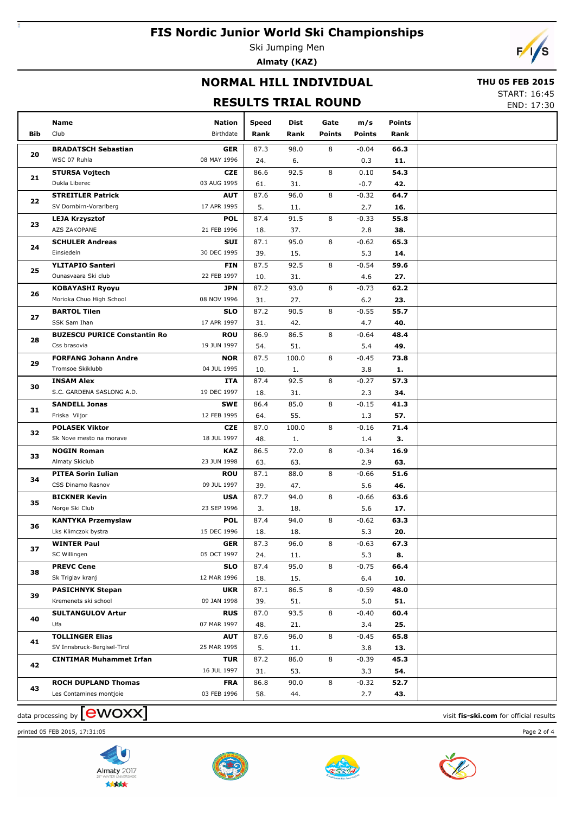Ski Jumping Men **Almaty (KAZ)**



### **NORMAL HILL INDIVIDUAL**

#### **THU 05 FEB 2015**

### **RESULTS TRIAL ROUND**

START: 16:45 END: 17:30

|            | Name                                 | Nation                    | Speed       | Dist        | Gate          | m/s            | <b>Points</b> |  |
|------------|--------------------------------------|---------------------------|-------------|-------------|---------------|----------------|---------------|--|
| <b>Bib</b> | Club                                 | Birthdate                 | Rank        | Rank        | <b>Points</b> | <b>Points</b>  | Rank          |  |
|            | <b>BRADATSCH Sebastian</b>           | <b>GER</b>                | 87.3        | 98.0        | 8             | $-0.04$        | 66.3          |  |
| 20         | WSC 07 Ruhla                         | 08 MAY 1996               | 24.         | 6.          |               | 0.3            | 11.           |  |
|            | <b>STURSA Vojtech</b>                | <b>CZE</b>                | 86.6        | 92.5        | 8             | 0.10           | 54.3          |  |
| 21         | Dukla Liberec                        | 03 AUG 1995               | 61.         | 31.         |               | $-0.7$         | 42.           |  |
|            | <b>STREITLER Patrick</b>             | <b>AUT</b>                | 87.6        | 96.0        | 8             | $-0.32$        | 64.7          |  |
| 22         | SV Dornbirn-Vorarlberg               | 17 APR 1995               | 5.          | 11.         |               | 2.7            | 16.           |  |
|            | <b>LEJA Krzysztof</b>                | <b>POL</b>                | 87.4        | 91.5        | 8             | $-0.33$        | 55.8          |  |
| 23         | <b>AZS ZAKOPANE</b>                  | 21 FEB 1996               | 18.         | 37.         |               | 2.8            | 38.           |  |
| 24         | <b>SCHULER Andreas</b>               | SUI                       | 87.1        | 95.0        | 8             | $-0.62$        | 65.3          |  |
|            | Einsiedeln                           | 30 DEC 1995               | 39.         | 15.         |               | 5.3            | 14.           |  |
| 25         | <b>YLITAPIO Santeri</b>              | <b>FIN</b>                | 87.5        | 92.5        | 8             | $-0.54$        | 59.6          |  |
|            | Ounasvaara Ski club                  | 22 FEB 1997               | 10.         | 31.         |               | 4.6            | 27.           |  |
| 26         | <b>KOBAYASHI Ryoyu</b>               | <b>JPN</b>                | 87.2        | 93.0        | 8             | $-0.73$        | 62.2          |  |
|            | Morioka Chuo High School             | 08 NOV 1996               | 31.         | 27.         |               | 6.2            | 23.           |  |
| 27         | <b>BARTOL Tilen</b>                  | <b>SLO</b>                | 87.2        | 90.5        | 8             | $-0.55$        | 55.7          |  |
|            | SSK Sam Ihan                         | 17 APR 1997               | 31.         | 42.         |               | 4.7            | 40.           |  |
| 28         | <b>BUZESCU PURICE Constantin Ro</b>  | <b>ROU</b>                | 86.9        | 86.5        | 8             | $-0.64$        | 48.4          |  |
|            | Css brasovia                         | 19 JUN 1997               | 54.         | 51.         |               | 5.4            | 49.           |  |
| 29         | <b>FORFANG Johann Andre</b>          | <b>NOR</b>                | 87.5        | 100.0       | 8             | $-0.45$        | 73.8          |  |
|            | Tromsoe Skiklubb                     | 04 JUL 1995               | 10.         | 1.          |               | 3.8            | 1.            |  |
| 30         | <b>INSAM Alex</b>                    | ITA                       | 87.4        | 92.5        | 8             | $-0.27$        | 57.3          |  |
|            | S.C. GARDENA SASLONG A.D.            | 19 DEC 1997               | 18.         | 31.         |               | 2.3            | 34.           |  |
| 31         | <b>SANDELL Jonas</b>                 | <b>SWE</b>                | 86.4        | 85.0        | 8             | $-0.15$        | 41.3          |  |
|            | Friska Viljor                        | 12 FEB 1995               | 64.         | 55.         |               | 1.3            | 57.           |  |
| 32         | <b>POLASEK Viktor</b>                | <b>CZE</b>                | 87.0        | 100.0       | 8             | $-0.16$        | 71.4          |  |
|            | Sk Nove mesto na morave              | 18 JUL 1997               | 48.         | 1.          |               | 1.4            | З.            |  |
| 33         | <b>NOGIN Roman</b><br>Almaty Skiclub | <b>KAZ</b><br>23 JUN 1998 | 86.5        | 72.0        | 8             | $-0.34$        | 16.9          |  |
|            | <b>PITEA Sorin Iulian</b>            | <b>ROU</b>                | 63.<br>87.1 | 63.<br>88.0 | 8             | 2.9<br>$-0.66$ | 63.<br>51.6   |  |
| 34         | CSS Dinamo Rasnov                    | 09 JUL 1997               | 39.         | 47.         |               | 5.6            | 46.           |  |
|            | <b>BICKNER Kevin</b>                 | <b>USA</b>                | 87.7        | 94.0        | 8             | $-0.66$        | 63.6          |  |
| 35         | Norge Ski Club                       | 23 SEP 1996               | 3.          | 18.         |               | 5.6            | 17.           |  |
|            | <b>KANTYKA Przemyslaw</b>            | <b>POL</b>                | 87.4        | 94.0        | 8             | $-0.62$        | 63.3          |  |
| 36         | Lks Klimczok bystra                  | 15 DEC 1996               | 18.         | 18.         |               | 5.3            | 20.           |  |
|            | <b>WINTER Paul</b>                   | <b>GER</b>                | 87.3        | 96.0        | 8             | $-0.63$        | 67.3          |  |
| 37         | SC Willingen                         | 05 OCT 1997               | 24.         | 11.         |               | 5.3            | 8.            |  |
|            | <b>PREVC Cene</b>                    | <b>SLO</b>                | 87.4        | 95.0        | 8             | $-0.75$        | 66.4          |  |
| 38         | Sk Triglav kranj                     | 12 MAR 1996               | 18.         | 15.         |               | 6.4            | 10.           |  |
|            | <b>PASICHNYK Stepan</b>              | <b>UKR</b>                | 87.1        | 86.5        | 8             | $-0.59$        | 48.0          |  |
| 39         | Kremenets ski school                 | 09 JAN 1998               | 39.         | 51.         |               | 5.0            | 51.           |  |
|            | <b>SULTANGULOV Artur</b>             | <b>RUS</b>                | 87.0        | 93.5        | 8             | $-0.40$        | 60.4          |  |
| 40         | Ufa                                  | 07 MAR 1997               | 48.         | 21.         |               | 3.4            | 25.           |  |
|            | <b>TOLLINGER Elias</b>               | <b>AUT</b>                | 87.6        | 96.0        | 8             | $-0.45$        | 65.8          |  |
| 41         | SV Innsbruck-Bergisel-Tirol          | 25 MAR 1995               | 5.          | 11.         |               | 3.8            | 13.           |  |
| 42         | <b>CINTIMAR Muhammet Irfan</b>       | <b>TUR</b>                | 87.2        | 86.0        | 8             | $-0.39$        | 45.3          |  |
|            |                                      | 16 JUL 1997               | 31.         | 53.         |               | 3.3            | 54.           |  |
| 43         | <b>ROCH DUPLAND Thomas</b>           | <b>FRA</b>                | 86.8        | 90.0        | 8             | $-0.32$        | 52.7          |  |
|            | Les Contamines montjoie              | 03 FEB 1996               | 58.         | 44.         |               | 2.7            | 43.           |  |
|            |                                      |                           |             |             |               |                |               |  |

# data processing by **CWOXX** and  $\overline{A}$  and  $\overline{B}$  wisit **fis-ski.com** for official results

printed 05 FEB 2015, 17:31:05 Page 2 of 4







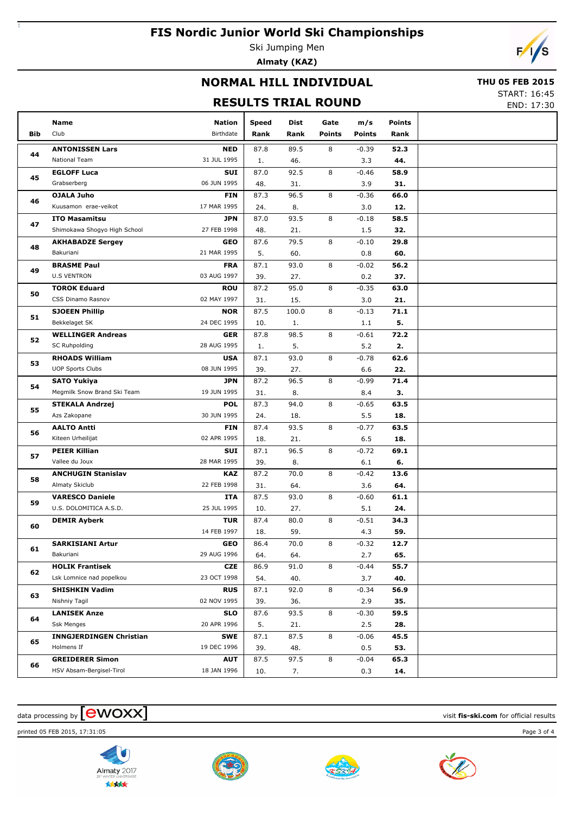Ski Jumping Men **Almaty (KAZ)**



### **NORMAL HILL INDIVIDUAL**

#### **THU 05 FEB 2015**

### **RESULTS TRIAL ROUND**

START: 16:45 END: 17:30

|            |                                    |                           |       |            |               |               |               | ----- <i>--</i> |
|------------|------------------------------------|---------------------------|-------|------------|---------------|---------------|---------------|-----------------|
|            | Name                               | <b>Nation</b>             | Speed | Dist       | Gate          | m/s           | <b>Points</b> |                 |
| <b>Bib</b> | Club                               | Birthdate                 | Rank  | Rank       | <b>Points</b> | <b>Points</b> | Rank          |                 |
|            | <b>ANTONISSEN Lars</b>             | <b>NED</b>                | 87.8  | 89.5       | 8             | $-0.39$       | 52.3          |                 |
| 44         | <b>National Team</b>               | 31 JUL 1995               | 1.    | 46.        |               | 3.3           | 44.           |                 |
|            | <b>EGLOFF Luca</b>                 | SUI                       | 87.0  | 92.5       | 8             | -0.46         | 58.9          |                 |
| 45         | Grabserberg                        | 06 JUN 1995               | 48.   | 31.        |               | 3.9           | 31.           |                 |
|            |                                    | <b>FIN</b>                | 87.3  | 96.5       | 8             |               | 66.0          |                 |
| 46         | OJALA Juho<br>Kuusamon erae-veikot | 17 MAR 1995               |       |            |               | $-0.36$       | 12.           |                 |
|            |                                    |                           | 24.   | 8.<br>93.5 | 8             | 3.0           |               |                 |
| 47         | <b>ITO Masamitsu</b>               | <b>JPN</b><br>27 FEB 1998 | 87.0  |            |               | $-0.18$       | 58.5          |                 |
|            | Shimokawa Shogyo High School       |                           | 48.   | 21.        |               | 1.5           | 32.           |                 |
| 48         | <b>AKHABADZE Sergey</b>            | <b>GEO</b>                | 87.6  | 79.5       | 8             | $-0.10$       | 29.8          |                 |
|            | Bakuriani                          | 21 MAR 1995               | 5.    | 60.        |               | 0.8           | 60.           |                 |
| 49         | <b>BRASME Paul</b>                 | <b>FRA</b>                | 87.1  | 93.0       | 8             | $-0.02$       | 56.2          |                 |
|            | <b>U.S VENTRON</b>                 | 03 AUG 1997               | 39.   | 27.        |               | 0.2           | 37.           |                 |
| 50         | <b>TOROK Eduard</b>                | <b>ROU</b>                | 87.2  | 95.0       | 8             | $-0.35$       | 63.0          |                 |
|            | CSS Dinamo Rasnov                  | 02 MAY 1997               | 31.   | 15.        |               | 3.0           | 21.           |                 |
| 51         | <b>SJOEEN Phillip</b>              | <b>NOR</b>                | 87.5  | 100.0      | 8             | $-0.13$       | 71.1          |                 |
|            | Bekkelaget SK                      | 24 DEC 1995               | 10.   | 1.         |               | 1.1           | 5.            |                 |
| 52         | <b>WELLINGER Andreas</b>           | <b>GER</b>                | 87.8  | 98.5       | 8             | $-0.61$       | 72.2          |                 |
|            | SC Ruhpolding                      | 28 AUG 1995               | 1.    | 5.         |               | 5.2           | 2.            |                 |
| 53         | <b>RHOADS William</b>              | <b>USA</b>                | 87.1  | 93.0       | 8             | $-0.78$       | 62.6          |                 |
|            | <b>UOP Sports Clubs</b>            | 08 JUN 1995               | 39.   | 27.        |               | 6.6           | 22.           |                 |
| 54         | <b>SATO Yukiya</b>                 | <b>JPN</b>                | 87.2  | 96.5       | 8             | $-0.99$       | 71.4          |                 |
|            | Megmilk Snow Brand Ski Team        | 19 JUN 1995               | 31.   | 8.         |               | 8.4           | з.            |                 |
| 55         | <b>STEKALA Andrzej</b>             | <b>POL</b>                | 87.3  | 94.0       | 8             | $-0.65$       | 63.5          |                 |
|            | Azs Zakopane                       | 30 JUN 1995               | 24.   | 18.        |               | 5.5           | 18.           |                 |
| 56         | <b>AALTO Antti</b>                 | <b>FIN</b>                | 87.4  | 93.5       | 8             | $-0.77$       | 63.5          |                 |
|            | Kiteen Urheilijat                  | 02 APR 1995               | 18.   | 21.        |               | 6.5           | 18.           |                 |
| 57         | <b>PEIER Killian</b>               | SUI                       | 87.1  | 96.5       | 8             | $-0.72$       | 69.1          |                 |
|            | Vallee du Joux                     | 28 MAR 1995               | 39.   | 8.         |               | 6.1           | 6.            |                 |
| 58         | <b>ANCHUGIN Stanislav</b>          | <b>KAZ</b>                | 87.2  | 70.0       | 8             | $-0.42$       | 13.6          |                 |
|            | Almaty Skiclub                     | 22 FEB 1998               | 31.   | 64.        |               | 3.6           | 64.           |                 |
| 59         | <b>VARESCO Daniele</b>             | <b>ITA</b>                | 87.5  | 93.0       | 8             | $-0.60$       | 61.1          |                 |
|            | U.S. DOLOMITICA A.S.D.             | 25 JUL 1995               | 10.   | 27.        |               | 5.1           | 24.           |                 |
| 60         | <b>DEMIR Ayberk</b>                | <b>TUR</b>                | 87.4  | 80.0       | 8             | $-0.51$       | 34.3          |                 |
|            |                                    | 14 FEB 1997               | 18.   | 59.        |               | 4.3           | 59.           |                 |
| 61         | <b>SARKISIANI Artur</b>            | GEO                       | 86.4  | 70.0       | 8             | $-0.32$       | 12.7          |                 |
|            | Bakuriani                          | 29 AUG 1996               | 64.   | 64.        |               | 2.7           | 65.           |                 |
| 62         | <b>HOLIK Frantisek</b>             | <b>CZE</b>                | 86.9  | 91.0       | 8             | $-0.44$       | 55.7          |                 |
|            | Lsk Lomnice nad popelkou           | 23 OCT 1998               | 54.   | 40.        |               | 3.7           | 40.           |                 |
| 63         | <b>SHISHKIN Vadim</b>              | <b>RUS</b>                | 87.1  | 92.0       | 8             | -0.34         | 56.9          |                 |
|            | Nishniy Tagil                      | 02 NOV 1995               | 39.   | 36.        |               | 2.9           | 35.           |                 |
|            | <b>LANISEK Anze</b>                | <b>SLO</b>                | 87.6  | 93.5       | 8             | $-0.30$       | 59.5          |                 |
| 64         | <b>Ssk Menges</b>                  | 20 APR 1996               | 5.    | 21.        |               | 2.5           | 28.           |                 |
|            | <b>INNGJERDINGEN Christian</b>     | <b>SWE</b>                | 87.1  | 87.5       | 8             | $-0.06$       | 45.5          |                 |
| 65         | Holmens If                         | 19 DEC 1996               | 39.   | 48.        |               | 0.5           | 53.           |                 |
|            | <b>GREIDERER Simon</b>             | <b>AUT</b>                | 87.5  | 97.5       | 8             | $-0.04$       | 65.3          |                 |
| 66         | HSV Absam-Bergisel-Tirol           | 18 JAN 1996               | 10.   | 7.         |               | 0.3           | 14.           |                 |
|            |                                    |                           |       |            |               |               |               |                 |

### $\frac{1}{2}$  data processing by  $\boxed{\text{ewOX}}$

printed 05 FEB 2015, 17:31:05 Page 3 of 4